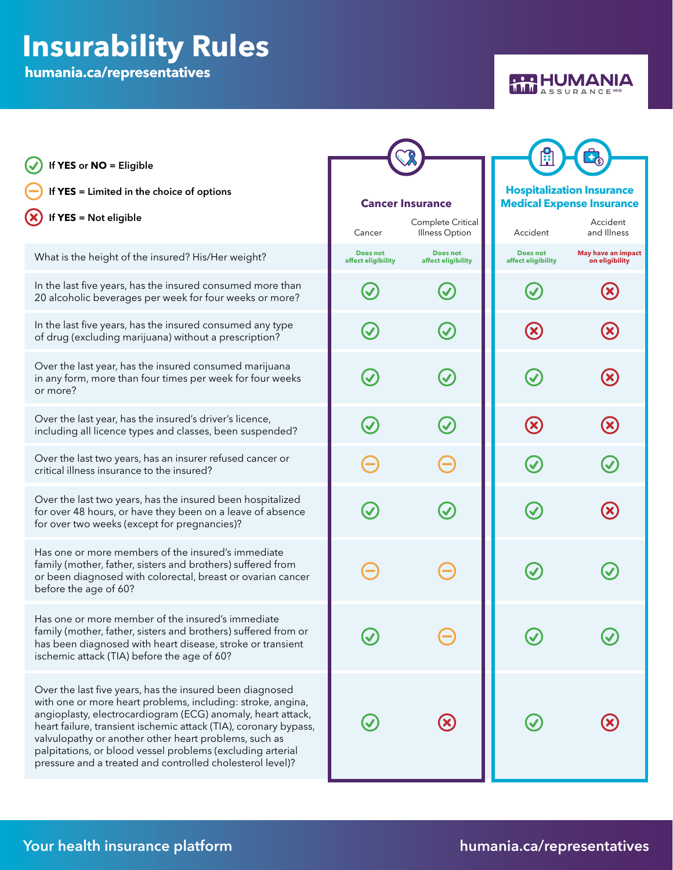## **Insurability Rules**

**humania.ca/representatives**



| If YES or NO = Eligible<br>If YES = Limited in the choice of options<br>If YES = Not eligible                                                                                                                                                                                                                                                                                                                                                  | <b>Cancer Insurance</b><br>Complete Critical<br>Cancer<br>Illness Option |                                       | <b>Hospitalization Insurance</b><br><b>Medical Expense Insurance</b><br>Accident<br>Accident<br>and Illness |                                             |
|------------------------------------------------------------------------------------------------------------------------------------------------------------------------------------------------------------------------------------------------------------------------------------------------------------------------------------------------------------------------------------------------------------------------------------------------|--------------------------------------------------------------------------|---------------------------------------|-------------------------------------------------------------------------------------------------------------|---------------------------------------------|
| What is the height of the insured? His/Her weight?                                                                                                                                                                                                                                                                                                                                                                                             | <b>Does not</b><br>affect eligibility                                    | <b>Does not</b><br>affect eligibility | <b>Does not</b><br>affect eligibility                                                                       | <b>May have an impact</b><br>on eligibility |
| In the last five years, has the insured consumed more than<br>20 alcoholic beverages per week for four weeks or more?                                                                                                                                                                                                                                                                                                                          |                                                                          |                                       |                                                                                                             |                                             |
| In the last five years, has the insured consumed any type<br>of drug (excluding marijuana) without a prescription?                                                                                                                                                                                                                                                                                                                             |                                                                          | $\bm{\mathcal{U}}$                    | $\left( \mathsf{x}\right)$                                                                                  |                                             |
| Over the last year, has the insured consumed marijuana<br>in any form, more than four times per week for four weeks<br>or more?                                                                                                                                                                                                                                                                                                                | $\bm{\mathcal{U}}$                                                       | $\bm{\mathcal{C}}$                    | $\bm{\mathcal{U}}$                                                                                          |                                             |
| Over the last year, has the insured's driver's licence,<br>including all licence types and classes, been suspended?                                                                                                                                                                                                                                                                                                                            | $\bm{\mathcal{C}}$                                                       | $\bm{\mathcal{C}}$                    | $\left( \mathbf{\Omega}\right)$                                                                             | $({\bm \times})$                            |
| Over the last two years, has an insurer refused cancer or<br>critical illness insurance to the insured?                                                                                                                                                                                                                                                                                                                                        |                                                                          |                                       | $\bm{\mathcal{Q}}$                                                                                          |                                             |
| Over the last two years, has the insured been hospitalized<br>for over 48 hours, or have they been on a leave of absence<br>for over two weeks (except for pregnancies)?                                                                                                                                                                                                                                                                       | $\blacktriangledown$                                                     | $\bm{\mathcal{Q}}$                    | $\bm{\mathcal{U}}$                                                                                          |                                             |
| Has one or more members of the insured's immediate<br>family (mother, father, sisters and brothers) suffered from<br>or been diagnosed with colorectal, breast or ovarian cancer<br>before the age of 60?                                                                                                                                                                                                                                      |                                                                          |                                       |                                                                                                             |                                             |
| Has one or more member of the insured's immediate<br>family (mother, father, sisters and brothers) suffered from or<br>has been diagnosed with heart disease, stroke or transient<br>ischemic attack (TIA) before the age of 60?                                                                                                                                                                                                               |                                                                          |                                       |                                                                                                             |                                             |
| Over the last five years, has the insured been diagnosed<br>with one or more heart problems, including: stroke, angina,<br>angioplasty, electrocardiogram (ECG) anomaly, heart attack,<br>heart failure, transient ischemic attack (TIA), coronary bypass,<br>valvulopathy or another other heart problems, such as<br>palpitations, or blood vessel problems (excluding arterial<br>pressure and a treated and controlled cholesterol level)? |                                                                          | $\bigcirc$                            |                                                                                                             |                                             |

## Your health insurance platform **the end of the set of the set of the set of the set of the set of the set of the set of the set of the set of the set of the set of the set of the set of the set of the set of the set of the**